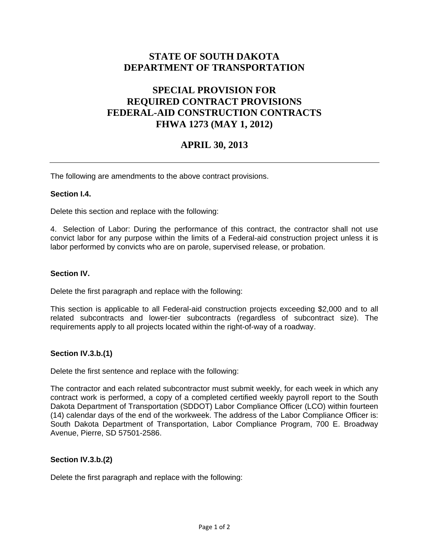# **STATE OF SOUTH DAKOTA DEPARTMENT OF TRANSPORTATION**

# **SPECIAL PROVISION FOR REQUIRED CONTRACT PROVISIONS FEDERAL-AID CONSTRUCTION CONTRACTS FHWA 1273 (MAY 1, 2012)**

## **APRIL 30, 2013**

The following are amendments to the above contract provisions.

### **Section I.4.**

Delete this section and replace with the following:

4. Selection of Labor: During the performance of this contract, the contractor shall not use convict labor for any purpose within the limits of a Federal-aid construction project unless it is labor performed by convicts who are on parole, supervised release, or probation.

### **Section IV.**

Delete the first paragraph and replace with the following:

This section is applicable to all Federal-aid construction projects exceeding \$2,000 and to all related subcontracts and lower-tier subcontracts (regardless of subcontract size). The requirements apply to all projects located within the right-of-way of a roadway.

#### **Section IV.3.b.(1)**

Delete the first sentence and replace with the following:

The contractor and each related subcontractor must submit weekly, for each week in which any contract work is performed, a copy of a completed certified weekly payroll report to the South Dakota Department of Transportation (SDDOT) Labor Compliance Officer (LCO) within fourteen (14) calendar days of the end of the workweek. The address of the Labor Compliance Officer is: South Dakota Department of Transportation, Labor Compliance Program, 700 E. Broadway Avenue, Pierre, SD 57501-2586.

#### **Section IV.3.b.(2)**

Delete the first paragraph and replace with the following: